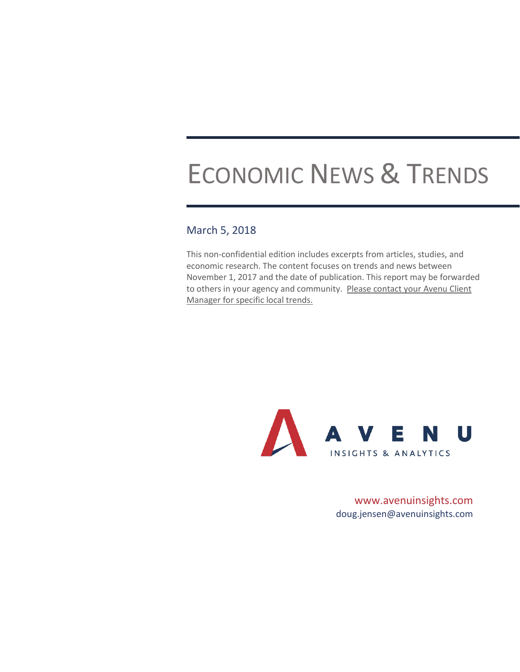# ECONOMIC NEWS & TRENDS

## March 5, 2018

This non-confidential edition includes excerpts from articles, studies, and economic research. The content focuses on trends and news between November 1, 2017 and the date of publication. This report may be forwarded to others in your agency and community. Please contact your Avenu Client Manager for specific local trends.



www.avenuinsights.com [doug.jensen@avenuinsights.com](mailto:doug.jensen@avenuinsights.com)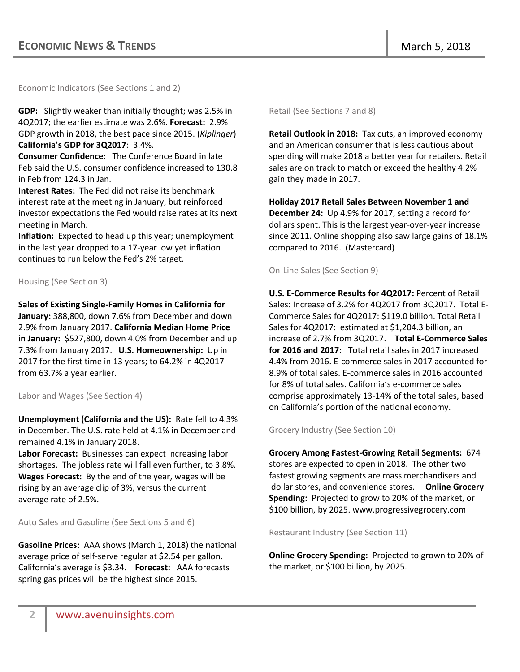Economic Indicators (See Sections 1 and 2)

**GDP:** Slightly weaker than initially thought; was 2.5% in 4Q2017; the earlier estimate was 2.6%. **Forecast:** 2.9% GDP growth in 2018, the best pace since 2015. (*Kiplinger*) **California's GDP for 3Q2017**: 3.4%.

**Consumer Confidence:** The Conference Board in late Feb said the U.S. consumer confidence increased to 130.8 in Feb from 124.3 in Jan.

**Interest Rates:** The Fed did not raise its benchmark interest rate at the meeting in January, but reinforced investor expectations the Fed would raise rates at its next meeting in March.

**Inflation:** Expected to head up this year; unemployment in the last year dropped to a 17-year low yet inflation continues to run below the Fed's 2% target.

Housing (See Section 3)

**Sales of Existing Single-Family Homes in California for January:** 388,800, down 7.6% from December and down 2.9% from January 2017. **California Median Home Price in January:** \$527,800, down 4.0% from December and up 7.3% from January 2017. **U.S. Homeownership:** Up in 2017 for the first time in 13 years; to 64.2% in 4Q2017 from 63.7% a year earlier.

#### Labor and Wages (See Section 4)

**Unemployment (California and the US):** Rate fell to 4.3% in December. The U.S. rate held at 4.1% in December and remained 4.1% in January 2018.

**Labor Forecast:** Businesses can expect increasing labor shortages. The jobless rate will fall even further, to 3.8%. **Wages Forecast:** By the end of the year, wages will be rising by an average clip of 3%, versus the current average rate of 2.5%.

Auto Sales and Gasoline (See Sections 5 and 6)

**Gasoline Prices:** AAA shows (March 1, 2018) the national average price of self-serve regular at \$2.54 per gallon. California's average is \$3.34. **Forecast:** AAA forecasts spring gas prices will be the highest since 2015.

Retail (See Sections 7 and 8)

**Retail Outlook in 2018:** Tax cuts, an improved economy and an American consumer that is less cautious about spending will make 2018 a better year for retailers. Retail sales are on track to match or exceed the healthy 4.2% gain they made in 2017.

**Holiday 2017 Retail Sales Between November 1 and December 24:** Up 4.9% for 2017, setting a record for dollars spent. This is the largest year-over-year increase since 2011. Online shopping also saw large gains of 18.1% compared to 2016. (Mastercard)

On-Line Sales (See Section 9)

**U.S. E-Commerce Results for 4Q2017:** Percent of Retail Sales: Increase of 3.2% for 4Q2017 from 3Q2017. Total E-Commerce Sales for 4Q2017: \$119.0 billion. Total Retail Sales for 4Q2017: estimated at \$1,204.3 billion, an increase of 2.7% from 3Q2017. **Total E-Commerce Sales for 2016 and 2017:** Total retail sales in 2017 increased 4.4% from 2016. E-commerce sales in 2017 accounted for 8.9% of total sales. E-commerce sales in 2016 accounted for 8% of total sales. California's e-commerce sales comprise approximately 13-14% of the total sales, based on California's portion of the national economy.

## Grocery Industry (See Section 10)

**Grocery Among Fastest-Growing Retail Segments:** 674 stores are expected to open in 2018. The other two fastest growing segments are mass merchandisers and dollar stores, and convenience stores. **Online Grocery Spending:** Projected to grow to 20% of the market, or \$100 billion, by 2025. www.progressivegrocery.com

Restaurant Industry (See Section 11)

**Online Grocery Spending:** Projected to grown to 20% of the market, or \$100 billion, by 2025.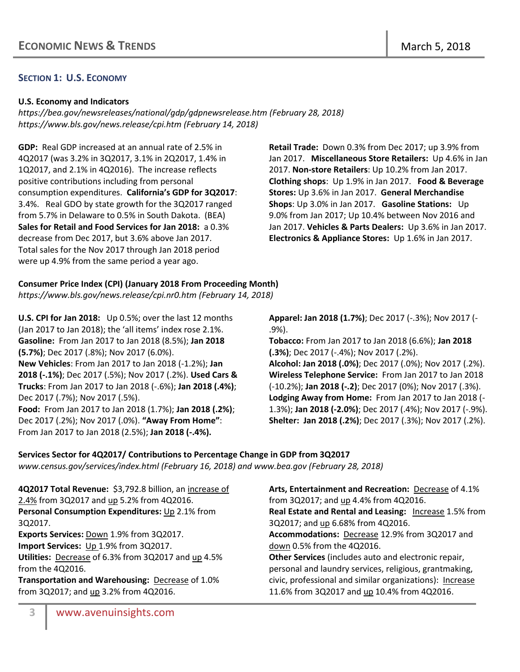## **SECTION 1: U.S. ECONOMY**

#### **U.S. Economy and Indicators**

*<https://bea.gov/newsreleases/national/gdp/gdpnewsrelease.htm> (February 28, 2018) <https://www.bls.gov/news.release/cpi.htm> (February 14, 2018)*

**GDP:** Real GDP increased at an annual rate of 2.5% in 4Q2017 (was 3.2% in 3Q2017, 3.1% in 2Q2017, 1.4% in 1Q2017, and 2.1% in 4Q2016). The increase reflects positive contributions including from personal consumption expenditures. **California's GDP for 3Q2017**: 3.4%. Real GDO by state growth for the 3Q2017 ranged from 5.7% in Delaware to 0.5% in South Dakota. (BEA) **Sales for Retail and Food Services for Jan 2018:** a 0.3% decrease from Dec 2017, but 3.6% above Jan 2017. Total sales for the Nov 2017 through Jan 2018 period were up 4.9% from the same period a year ago.

**Retail Trade:** Down 0.3% from Dec 2017; up 3.9% from Jan 2017. **Miscellaneous Store Retailers:** Up 4.6% in Jan 2017. **Non-store Retailers**: Up 10.2% from Jan 2017. **Clothing shops**: Up 1.9% in Jan 2017. **Food & Beverage Stores:** Up 3.6% in Jan 2017. **General Merchandise Shops**: Up 3.0% in Jan 2017. **Gasoline Stations:** Up 9.0% from Jan 2017; Up 10.4% between Nov 2016 and Jan 2017. **Vehicles & Parts Dealers:** Up 3.6% in Jan 2017. **Electronics & Appliance Stores:** Up 1.6% in Jan 2017.

## **Consumer Price Index (CPI) (January 2018 From Proceeding Month)**

*<https://www.bls.gov/news.release/cpi.nr0.htm> (February 14, 2018)*

**U.S. CPI for Jan 2018:** Up 0.5%; over the last 12 months (Jan 2017 to Jan 2018); the 'all items' index rose 2.1%. **Gasoline:** From Jan 2017 to Jan 2018 (8.5%); **Jan 2018 (5.7%)**; Dec 2017 (.8%); Nov 2017 (6.0%). **New Vehicles**: From Jan 2017 to Jan 2018 (-1.2%); **Jan 2018 (-.1%)**; Dec 2017 (.5%); Nov 2017 (.2%). **Used Cars & Trucks**: From Jan 2017 to Jan 2018 (-.6%); **Jan 2018 (.4%)**; Dec 2017 (.7%); Nov 2017 (.5%). **Food:** From Jan 2017 to Jan 2018 (1.7%); **Jan 2018 (.2%)**; Dec 2017 (.2%); Nov 2017 (.0%). **"Away From Home"**: From Jan 2017 to Jan 2018 (2.5%); **Jan 2018 (-.4%).**

**Apparel: Jan 2018 (1.7%)**; Dec 2017 (-.3%); Nov 2017 (- .9%).

**Tobacco:** From Jan 2017 to Jan 2018 (6.6%); **Jan 2018 (.3%)**; Dec 2017 (-.4%); Nov 2017 (.2%).

**Alcohol: Jan 2018 (.0%)**; Dec 2017 (.0%); Nov 2017 (.2%). **Wireless Telephone Service:** From Jan 2017 to Jan 2018 (-10.2%); **Jan 2018 (-.2)**; Dec 2017 (0%); Nov 2017 (.3%). **Lodging Away from Home:** From Jan 2017 to Jan 2018 (- 1.3%); **Jan 2018 (-2.0%)**; Dec 2017 (.4%); Nov 2017 (-.9%). **Shelter: Jan 2018 (.2%)**; Dec 2017 (.3%); Nov 2017 (.2%).

## **Services Sector for 4Q2017/ Contributions to Percentage Change in GDP from 3Q2017**

*[www.census.gov/services/index.html](http://www.census.gov/services/index.html) (February 16, 2018) and [www.bea.gov](http://www.bea.gov/) (February 28, 2018)*

**4Q2017 Total Revenue:** \$3,792.8 billion, an increase of 2.4% from 3Q2017 and up 5.2% from 4Q2016. **Personal Consumption Expenditures: Up 2.1% from** 3Q2017.

**Exports Services:** Down 1.9% from 3Q2017.

**Import Services:** Up 1.9% from 3Q2017.

**Utilities:** Decrease of 6.3% from 3Q2017 and up 4.5% from the 4Q2016.

**Transportation and Warehousing:** Decrease of 1.0% from 3Q2017; and up 3.2% from 4Q2016.

**Arts, Entertainment and Recreation:** Decrease of 4.1% from 3Q2017; and up 4.4% from 4Q2016. **Real Estate and Rental and Leasing:** Increase 1.5% from 3Q2017; and up 6.68% from 4Q2016. **Accommodations:** Decrease 12.9% from 3Q2017 and down 0.5% from the 4Q2016. **Other Services** (includes auto and electronic repair, personal and laundry services, religious, grantmaking, civic, professional and similar organizations):Increase 11.6% from 3Q2017 and up 10.4% from 4Q2016.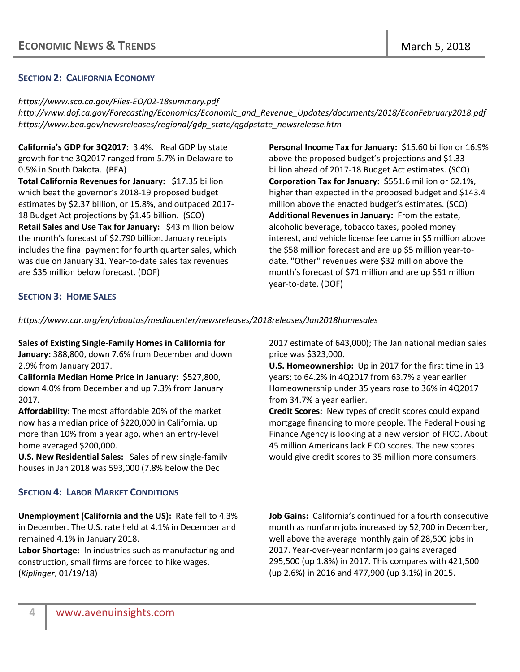## **SECTION 2: CALIFORNIA ECONOMY**

*https://www.sco.ca.gov/Files-EO/02-18summary.pdf http://www.dof.ca.gov/Forecasting/Economics/Economic\_and\_Revenue\_Updates/documents/2018/EconFebruary2018.pdf https://www.bea.gov/newsreleases/regional/gdp\_state/qgdpstate\_newsrelease.htm*

**California's GDP for 3Q2017**: 3.4%. Real GDP by state growth for the 3Q2017 ranged from 5.7% in Delaware to 0.5% in South Dakota. (BEA) **Total California Revenues for January:** \$17.35 billion which beat the governor's 2018-19 proposed budget estimates by \$2.37 billion, or 15.8%, and outpaced 2017- 18 Budget Act projections by \$1.45 billion. (SCO) **Retail Sales and Use Tax for January:** \$43 million below the month's forecast of \$2.790 billion. January receipts includes the final payment for fourth quarter sales, which was due on January 31. Year-to-date sales tax revenues are \$35 million below forecast. (DOF)

**Personal Income Tax for January:** \$15.60 billion or 16.9% above the proposed budget's projections and \$1.33 billion ahead of 2017-18 Budget Act estimates. (SCO) **Corporation Tax for January:** \$551.6 million or 62.1%, higher than expected in the proposed budget and \$143.4 million above the enacted budget's estimates. (SCO) **Additional Revenues in January:** From the estate, alcoholic beverage, tobacco taxes, pooled money interest, and vehicle license fee came in \$5 million above the \$58 million forecast and are up \$5 million year-todate. "Other" revenues were \$32 million above the month's forecast of \$71 million and are up \$51 million year-to-date. (DOF)

## **SECTION 3: HOME SALES**

*<https://www.car.org/en/aboutus/mediacenter/newsreleases/2018releases/Jan2018homesales>*

**Sales of Existing Single-Family Homes in California for January:** 388,800, down 7.6% from December and down 2.9% from January 2017.

**California Median Home Price in January:** \$527,800, down 4.0% from December and up 7.3% from January 2017.

**Affordability:** The most affordable 20% of the market now has a median price of \$220,000 in California, up more than 10% from a year ago, when an entry-level home averaged \$200,000.

**U.S. New Residential Sales:** Sales of new single-family houses in Jan 2018 was 593,000 (7.8% below the Dec

## **SECTION 4: LABOR MARKET CONDITIONS**

**Unemployment (California and the US):** Rate fell to 4.3% in December. The U.S. rate held at 4.1% in December and remained 4.1% in January 2018.

**Labor Shortage:** In industries such as manufacturing and construction, small firms are forced to hike wages. (*Kiplinger*, 01/19/18)

2017 estimate of 643,000); The Jan national median sales price was \$323,000.

**U.S. Homeownership:** Up in 2017 for the first time in 13 years; to 64.2% in 4Q2017 from 63.7% a year earlier Homeownership under 35 years rose to 36% in 4Q2017 from 34.7% a year earlier.

**Credit Scores:** New types of credit scores could expand mortgage financing to more people. The Federal Housing Finance Agency is looking at a new version of FICO. About 45 million Americans lack FICO scores. The new scores would give credit scores to 35 million more consumers.

**Job Gains:** California's continued for a fourth consecutive month as nonfarm jobs increased by 52,700 in December, well above the average monthly gain of 28,500 jobs in 2017. Year-over-year nonfarm job gains averaged 295,500 (up 1.8%) in 2017. This compares with 421,500 (up 2.6%) in 2016 and 477,900 (up 3.1%) in 2015.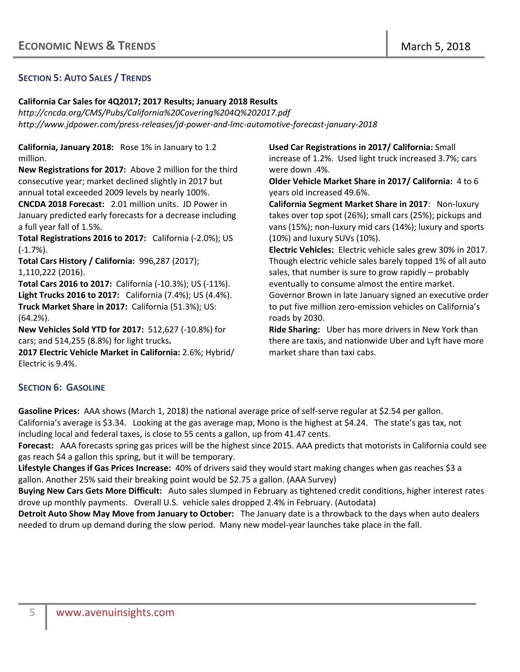## **SECTION 5: AUTO SALES / TRENDS**

#### **California Car Sales for 4Q2017; 2017 Results; January 2018 Results**

*<http://cncda.org/CMS/Pubs/California%20Covering%204Q%202017.pdf> http://www.jdpower.com/press-releases/jd-power-and-lmc-automotive-forecast-january-2018*

**California, January 2018:** Rose 1% in January to 1.2 million.

**New Registrations for 2017:** Above 2 million for the third consecutive year; market declined slightly in 2017 but annual total exceeded 2009 levels by nearly 100%.

**CNCDA 2018 Forecast:** 2.01 million units. JD Power in January predicted early forecasts for a decrease including a full year fall of 1.5%.

**Total Registrations 2016 to 2017:** California (-2.0%); US (-1.7%).

**Total Cars History / California:** 996,287 (2017); 1,110,222 (2016).

**Total Cars 2016 to 2017:** California (-10.3%); US (-11%). **Light Trucks 2016 to 2017:** California (7.4%); US (4.4%). **Truck Market Share in 2017:** California (51.3%); US: (64.2%).

**New Vehicles Sold YTD for 2017:** 512,627 (-10.8%) for cars; and 514,255 (8.8%) for light trucks**.**

**2017 Electric Vehicle Market in California:** 2.6%; Hybrid/ Electric is 9.4%.

**Used Car Registrations in 2017/ California:** Small increase of 1.2%. Used light truck increased 3.7%; cars were down .4%.

**Older Vehicle Market Share in 2017/ California:** 4 to 6 years old increased 49.6%.

**California Segment Market Share in 2017**: Non-luxury takes over top spot (26%); small cars (25%); pickups and vans (15%); non-luxury mid cars (14%); luxury and sports (10%) and luxury SUVs (10%).

**Electric Vehicles:** [Electric vehicle sales grew 30%](http://beta.latimes.com/business/autos/la-fi-hy-electric-cars-20171228-story.html) in 2017. Though electric vehicle sales barely toppe[d 1%](http://beta.latimes.com/business/autos/la-fi-hy-electric-cars-20171228-story.html) of all auto sales, that number is sure to grow rapidly – probably eventually to consume almost the entire market. Governor Brown in late January signed an executive order

to put five million zero-emission vehicles on California's roads by 2030.

**Ride Sharing:** Uber has [more drivers in New York](https://rideshareapps.com/2015-rideshare-infographic/) than there are taxis, and nationwide Uber and Lyft hav[e more](https://rideshareapps.com/2015-rideshare-infographic/)  [market share](https://rideshareapps.com/2015-rideshare-infographic/) than taxi cabs.

## **SECTION 6: GASOLINE**

**Gasoline Prices:** AAA shows (March 1, 2018) the national average price of self-serve regular at \$2.54 per gallon. California's average is \$3.34. Looking at the gas average map, Mono is the highest at \$4.24. The state's gas tax, not including local and federal taxes, is close to 55 cents a gallon, up from 41.47 cents.

**Forecast:** AAA forecasts spring gas prices will be the highest since 2015. AAA predicts that motorists in California could see gas reach \$4 a gallon this spring, but it will be temporary.

**Lifestyle Changes if Gas Prices Increase:** 40% of drivers said they would start making changes when gas reaches \$3 a gallon. Another 25% said their breaking point would be \$2.75 a gallon. (AAA Survey)

**Buying New Cars Gets More Difficult:** Auto sales slumped in February as tightened credit conditions, higher interest rates drove up monthly payments. Overall U.S. vehicle sales dropped 2.4% in February. (Autodata)

**Detroit Auto Show May Move from January to October:** The January date is a throwback to the days when auto dealers needed to drum up demand during the slow period. Many new model-year launches take place in the fall.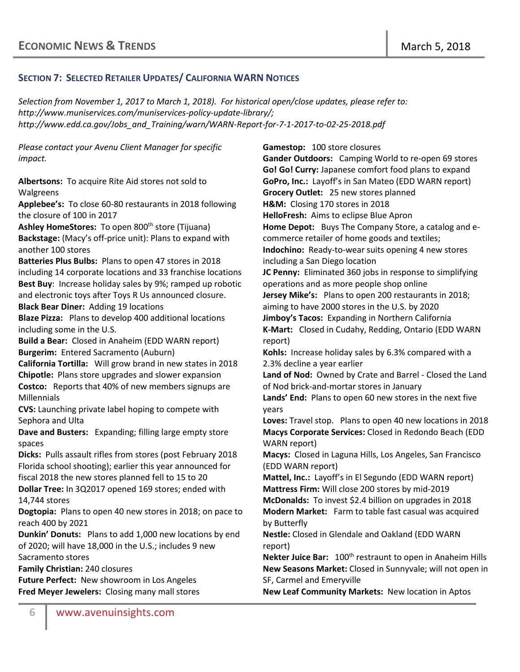## **SECTION 7: SELECTED RETAILER UPDATES/ CALIFORNIA WARN NOTICES**

*Selection from November 1, 2017 to March 1, 2018). For historical open/close updates, please refer to: [http://www.muniservices.com/muniservices-policy-update-library/;](http://www.muniservices.com/muniservices-policy-update-library/) http://www.edd.ca.gov/Jobs\_and\_Training/warn/WARN-Report-for-7-1-2017-to-02-25-2018.pdf*

*Please contact your Avenu Client Manager for specific impact.* 

**Albertsons:** To acquire Rite Aid stores not sold to Walgreens

**Applebee's:** To close 60-80 restaurants in 2018 following the closure of 100 in 2017

Ashley HomeStores: To open 800<sup>th</sup> store (Tijuana) **Backstage:** (Macy's off-price unit): Plans to expand with another 100 stores

**Batteries Plus Bulbs:** Plans to open 47 stores in 2018 including 14 corporate locations and 33 franchise locations **Best Buy**: Increase holiday sales by 9%; ramped up robotic and electronic toys after Toys R Us announced closure. **Black Bear Diner:** Adding 19 locations

**Blaze Pizza:** Plans to develop 400 additional locations including some in the U.S.

**Build a Bear:** Closed in Anaheim (EDD WARN report) **Burgerim:** Entered Sacramento (Auburn)

**California Tortilla:** Will grow brand in new states in 2018 **Chipotle:** Plans store upgrades and slower expansion **Costco:** Reports that 40% of new members signups are Millennials

**CVS:** Launching private label hoping to compete with Sephora and Ulta

**Dave and Busters:** Expanding; filling large empty store spaces

**Dicks:** Pulls assault rifles from stores (post February 2018 Florida school shooting); earlier this year announced for fiscal 2018 the new stores planned fell to 15 to 20

**Dollar Tree:** In 3Q2017 opened 169 stores; ended with 14,744 stores

**Dogtopia:** Plans to open 40 new stores in 2018; on pace to reach 400 by 2021

**Dunkin' Donuts:** Plans to add 1,000 new locations by end of 2020; will have 18,000 in the U.S.; includes 9 new Sacramento stores

**Family Christian:** 240 closures

**Future Perfect:** New showroom in Los Angeles **Fred Meyer Jewelers:** Closing many mall stores **Gamestop:** 100 store closures

**Gander Outdoors:** Camping World to re-open 69 stores **Go! Go! Curry:** Japanese comfort food plans to expand **GoPro, Inc.:** Layoff's in San Mateo (EDD WARN report) **Grocery Outlet:** 25 new stores planned **H&M:** Closing 170 stores in 2018 **HelloFresh:** Aims to eclipse Blue Apron **Home Depot:** Buys The Company Store, a catalog and ecommerce retailer of home goods and textiles; **Indochino:** Ready-to-wear suits opening 4 new stores including a San Diego location **JC Penny:** Eliminated 360 jobs in response to simplifying operations and as more people shop online **Jersey Mike's:** Plans to open 200 restaurants in 2018; aiming to have 2000 stores in the U.S. by 2020 **Jimboy's Tacos:** Expanding in Northern California **K-Mart:** Closed in Cudahy, Redding, Ontario (EDD WARN report) **Kohls:** Increase holiday sales by 6.3% compared with a 2.3% decline a year earlier **Land of Nod:** Owned by Crate and Barrel - Closed the Land of Nod brick-and-mortar stores in January **Lands' End:** Plans to open 60 new stores in the next five years **Loves:** Travel stop. Plans to open 40 new locations in 2018 **Macys Corporate Services:** Closed in Redondo Beach (EDD WARN report) **Macys:** Closed in Laguna Hills, Los Angeles, San Francisco (EDD WARN report) **Mattel, Inc.:** Layoff's in El Segundo (EDD WARN report) **Mattress Firm:** Will close 200 stores by mid-2019 **McDonalds:** To invest \$2.4 billion on upgrades in 2018 **Modern Market:** Farm to table fast casual was acquired by Butterfly **Nestle:** Closed in Glendale and Oakland (EDD WARN report) **Nekter Juice Bar:** 100th restraunt to open in Anaheim Hills **New Seasons Market:** Closed in Sunnyvale; will not open in SF, Carmel and Emeryville

**New Leaf Community Markets:** New location in Aptos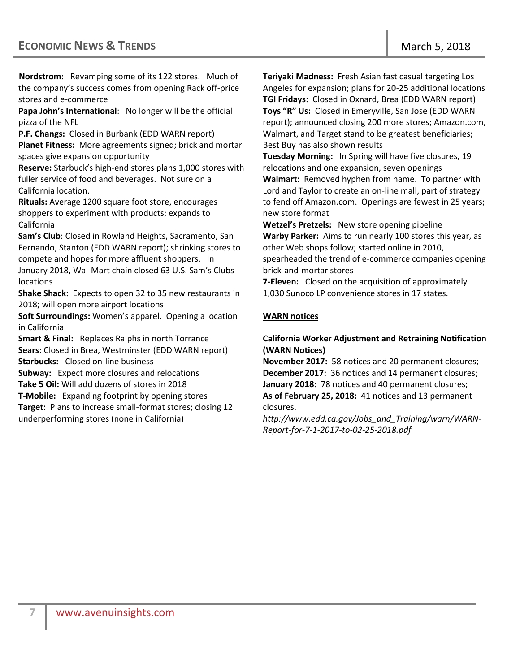**Nordstrom:** Revamping some of its 122 stores. Much of the company's success comes from opening Rack off-price stores and e-commerce

**Papa John's International**: No longer will be the official pizza of the NFL

**P.F. Changs:** Closed in Burbank (EDD WARN report) **Planet Fitness:** More agreements signed; brick and mortar spaces give expansion opportunity

**Reserve:** Starbuck's high-end stores plans 1,000 stores with fuller service of food and beverages. Not sure on a California location.

**Rituals:** Average 1200 square foot store, encourages shoppers to experiment with products; expands to California

**Sam's Club**: Closed in Rowland Heights, Sacramento, San Fernando, Stanton (EDD WARN report); shrinking stores to compete and hopes for more affluent shoppers. In January 2018, Wal-Mart chain closed 63 U.S. Sam's Clubs locations

**Shake Shack:** Expects to open 32 to 35 new restaurants in 2018; will open more airport locations

**Soft Surroundings:** Women's apparel. Opening a location in California

**Smart & Final:** [Replaces Ralphs in north Torrance](http://www.dailybreeze.com/2017/12/13/smart-final-replaces-ralphs-in-north-torrance/)  **Sears**: Closed in Brea, Westminster (EDD WARN report) **Starbucks:** Closed on-line business

**Subway:** Expect more closures and relocations **Take 5 Oil:** Will add dozens of stores in 2018

**T-Mobile:** Expanding footprint by opening stores

**Target:** Plans to increase small-format stores; closing 12 underperforming stores (none in California)

**Teriyaki Madness:** Fresh Asian fast casual targeting Los Angeles for expansion; plans for 20-25 additional locations **TGI Fridays:** Closed in Oxnard, Brea (EDD WARN report) **Toys "R" Us:** Closed in Emeryville, San Jose (EDD WARN report); announced closing 200 more stores; Amazon.com, Walmart, and Target stand to be greatest beneficiaries; Best Buy has also shown results

**Tuesday Morning:** In Spring will have five closures, 19 relocations and one expansion, seven openings **Walmart:** Removed hyphen from name. To partner with Lord and Taylor to create an on-line mall, part of strategy to fend off Amazon.com. Openings are fewest in 25 years; new store format

**Wetzel's Pretzels:** New store opening pipeline **Warby Parker:** Aims to run nearly 100 stores this year, as other Web shops follow; started online in 2010, spearheaded the trend of e-commerce companies opening brick-and-mortar stores

**7-Eleven:** Closed on the acquisition of approximately 1,030 Sunoco LP convenience stores in 17 states.

## **WARN notices**

## **California Worker Adjustment and Retraining Notification (WARN Notices)**

**November 2017:** 58 notices and 20 permanent closures; **December 2017:** 36 notices and 14 permanent closures; **January 2018:** 78 notices and 40 permanent closures; **As of February 25, 2018:** 41 notices and 13 permanent closures.

*[http://www.edd.ca.gov/Jobs\\_and\\_Training/warn/WARN-](http://www.edd.ca.gov/Jobs_and_Training/warn/WARN-Report-for-7-1-2017-to-02-25-2018.pdf)[Report-for-7-1-2017-to-02-25-2018.pdf](http://www.edd.ca.gov/Jobs_and_Training/warn/WARN-Report-for-7-1-2017-to-02-25-2018.pdf)*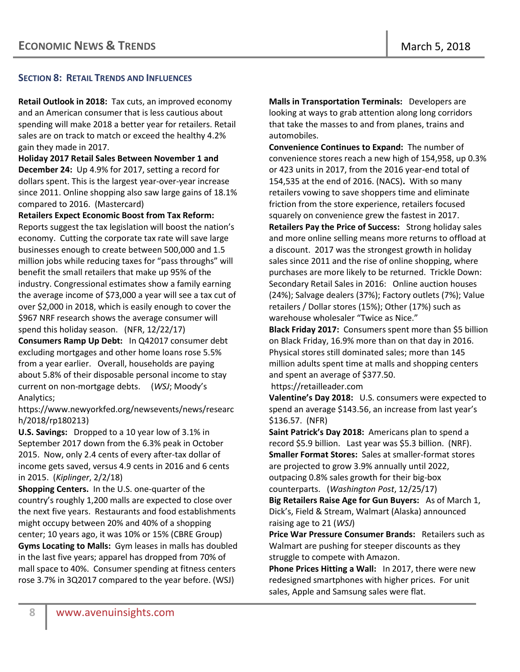## **SECTION 8: RETAIL TRENDS AND INFLUENCES**

**Retail Outlook in 2018:** Tax cuts, an improved economy and an American consumer that is less cautious about spending will make 2018 a better year for retailers. Retail sales are on track to match or exceed the healthy 4.2% gain they made in 2017.

**Holiday 2017 Retail Sales Between November 1 and December 24:** Up 4.9% for 2017, setting a record for dollars spent. This is the largest year-over-year increase since 2011. Online shopping also saw large gains of 18.1% compared to 2016. (Mastercard)

**Retailers Expect Economic Boost from Tax Reform:**

Reports suggest the tax legislation will boost the nation's economy. Cutting the corporate tax rate will save large businesses enough to create between 500,000 and 1.5 million jobs while reducing taxes for "pass throughs" will benefit the small retailers that make up 95% of the industry. Congressional estimates show a family earning the average income of \$73,000 a year will see a tax cut of over \$2,000 in 2018, which is easily enough to cover the \$967 NRF research shows the average consumer will spend this holiday season. (NFR, 12/22/17)

**Consumers Ramp Up Debt:** In Q42017 consumer debt excluding mortgages and other home loans rose 5.5% from a year earlier. Overall, households are paying about 5.8% of their disposable personal income to stay current on non-mortgage debts. (*WSJ*; Moody's Analytics;

[https://www.newyorkfed.org/newsevents/news/researc](https://www.newyorkfed.org/newsevents/news/research/2018/rp180213) [h/2018/rp180213\)](https://www.newyorkfed.org/newsevents/news/research/2018/rp180213)

**U.S. Savings:** Dropped to a 10 year low of 3.1% in September 2017 down from the 6.3% peak in October 2015. Now, only 2.4 cents of every after-tax dollar of income gets saved, versus 4.9 cents in 2016 and 6 cents in 2015. (*Kiplinger*, 2/2/18)

**Shopping Centers.** In the U.S. one-quarter of the country's roughly 1,200 malls are expected to close over the next five years. Restaurants and food establishments might occupy between 20% and 40% of a shopping center; 10 years ago, it was 10% or 15% (CBRE Group) **Gyms Locating to Malls:** Gym leases in malls has doubled in the last five years; apparel has dropped from 70% of mall space to 40%. Consumer spending at fitness centers rose 3.7% in 3Q2017 compared to the year before. (WSJ)

**Malls in Transportation Terminals:** Developers are looking at ways to grab attention along long corridors that take the masses to and from planes, trains and automobiles.

**Convenience Continues to Expand:** The number of convenience stores reach a new high of 154,958, up 0.3% or 423 units in 2017, from the 2016 year-end total of 154,535 at the end of 2016. (NACS)**.** With so many retailers vowing to save shoppers time and eliminate friction from the store experience, retailers focused squarely on convenience grew the fastest in 2017. **Retailers Pay the Price of Success:** Strong holiday sales and more online selling means more returns to offload at a discount. 2017 was the strongest growth in holiday sales since 2011 and the rise of online shopping, where purchases are more likely to be returned. Trickle Down: Secondary Retail Sales in 2016: Online auction houses (24%); Salvage dealers (37%); Factory outlets (7%); Value

retailers / Dollar stores (15%); Other (17%) such as warehouse wholesaler "Twice as Nice."

**Black Friday 2017:** Consumers spent more than \$5 billion on Black Friday, 16.9% more than on that day in 2016. Physical stores still dominated sales; more than 145 million adults spent time at malls and shopping centers and spent an average of \$377.50.

https://retailleader.com

**Valentine's Day 2018:** U.S. consumers were expected to spend an average \$143.56, an increase from last year's \$136.57. (NFR)

**Saint Patrick's Day 2018:** Americans plan to spend a record \$5.9 billion. Last year was \$5.3 billion. (NRF). **Smaller Format Stores:** Sales at smaller-format stores are projected to grow 3.9% annually until 2022, outpacing 0.8% sales growth for their big-box counterparts. (*Washington Post*, 12/25/17)

**Big Retailers Raise Age for Gun Buyers:** As of March 1, Dick's, Field & Stream, Walmart (Alaska) announced raising age to 21 (*WSJ*)

**Price War Pressure Consumer Brands:** Retailers such as Walmart are pushing for steeper discounts as they struggle to compete with Amazon.

**Phone Prices Hitting a Wall:** In 2017, there were new redesigned smartphones with higher prices. For unit sales, Apple and Samsung sales were flat.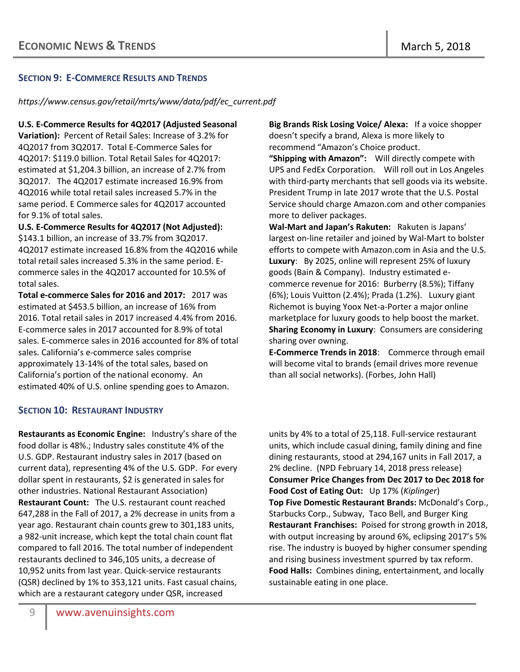## **SECTION 9: E-COMMERCE RESULTS AND TRENDS**

*[https://www.census.gov/retail/mrts/www/data/pdf/ec\\_current.pdf](https://www.census.gov/retail/mrts/www/data/pdf/ec_current.pdf)*

**U.S. E-Commerce Results for 4Q2017 (Adjusted Seasonal** 

**Variation):** Percent of Retail Sales: Increase of 3.2% for 4Q2017 from 3Q2017. Total E-Commerce Sales for 4Q2017: \$119.0 billion. Total Retail Sales for 4Q2017: estimated at \$1,204.3 billion, an increase of 2.7% from 3Q2017. The 4Q2017 estimate increased 16.9% from 4Q2016 while total retail sales increased 5.7% in the same period. E Commerce sales for 4Q2017 accounted for 9.1% of total sales.

**U.S. E-Commerce Results for 4Q2017 (Not Adjusted):**  \$143.1 billion, an increase of 33.7% from 3Q2017. 4Q2017 estimate increased 16.8% from the 4Q2016 while total retail sales increased 5.3% in the same period. Ecommerce sales in the 4Q2017 accounted for 10.5% of total sales.

**Total e-commerce Sales for 2016 and 2017:** 2017 was estimated at \$453.5 billion, an increase of 16% from 2016. Total retail sales in 2017 increased 4.4% from 2016. E-commerce sales in 2017 accounted for 8.9% of total sales. E-commerce sales in 2016 accounted for 8% of total sales. California's e-commerce sales comprise approximately 13-14% of the total sales, based on California's portion of the national economy. An estimated 40% of U.S. online spending goes to Amazon.

## **SECTION 10: RESTAURANT INDUSTRY**

**Restaurants as Economic Engine:** Industry's share of the food dollar is 48%.; Industry sales constitute 4% of the U.S. GDP. Restaurant industry sales in 2017 (based on current data), representing 4% of the U.S. GDP. For every dollar spent in restaurants, \$2 is generated in sales for other industries. National Restaurant Association) **Restaurant Count:** The U.S. restaurant count reached 647,288 in the Fall of 2017, a 2% decrease in units from a year ago. Restaurant chain counts grew to 301,183 units, a 982-unit increase, which kept the total chain count flat compared to fall 2016. The total number of independent restaurants declined to 346,105 units, a decrease of 10,952 units from last year. Quick-service restaurants (QSR) declined by 1% to 353,121 units. Fast casual chains, which are a restaurant category under QSR, increased

**Big Brands Risk Losing Voice/ Alexa:** If a voice shopper doesn't specify a brand, Alexa is more likely to recommend "Amazon's Choice product.

**"Shipping with Amazon":** Will directly compete with UPS and FedEx Corporation. Will roll out in Los Angeles with third-party merchants that sell goods via its website. President Trump in late 2017 wrote that the U.S. Postal Service should charge Amazon.com and other companies more to deliver packages.

**Wal-Mart and Japan's Rakuten:** Rakuten is Japans' largest on-line retailer and joined by Wal-Mart to bolster efforts to compete with Amazon.com in Asia and the U.S. **Luxury**: By 2025, online will represent 25% of luxury goods (Bain & Company). Industry estimated ecommerce revenue for 2016: Burberry (8.5%); Tiffany (6%); Louis Vuitton (2.4%); Prada (1.2%). Luxury giant Richemot is buying Yoox Net-a-Porter a major online marketplace for luxury goods to help boost the market. **Sharing Economy in Luxury**: Consumers are considering sharing over owning.

**E-Commerce Trends in 2018**: Commerce through email will become vital to brands (email drives more revenue than all social networks). (Forbes, John Hall)

units by 4% to a total of 25,118. Full-service restaurant units, which include casual dining, family dining and fine dining restaurants, stood at 294,167 units in Fall 2017, a 2% decline. (NPD February 14, 2018 press release) **Consumer Price Changes from Dec 2017 to Dec 2018 for Food Cost of Eating Out:** Up 17% (*Kiplinger*) **Top Five Domestic Restaurant Brands:** [McDonald's Corp.](https://www.bloomberg.com/quote/MCD:US), Starbucks Corp., Subway, Taco Bell, and [Burger King](https://www.bloomberg.com/quote/QSR:US) **Restaurant Franchises:** Poised for strong growth in 2018, with output increasing by around 6%, eclipsing 2017's 5% rise. The industry is buoyed by higher consumer spending and rising business investment spurred by tax reform. **Food Halls:** Combines dining, entertainment, and locally sustainable eating in one place.